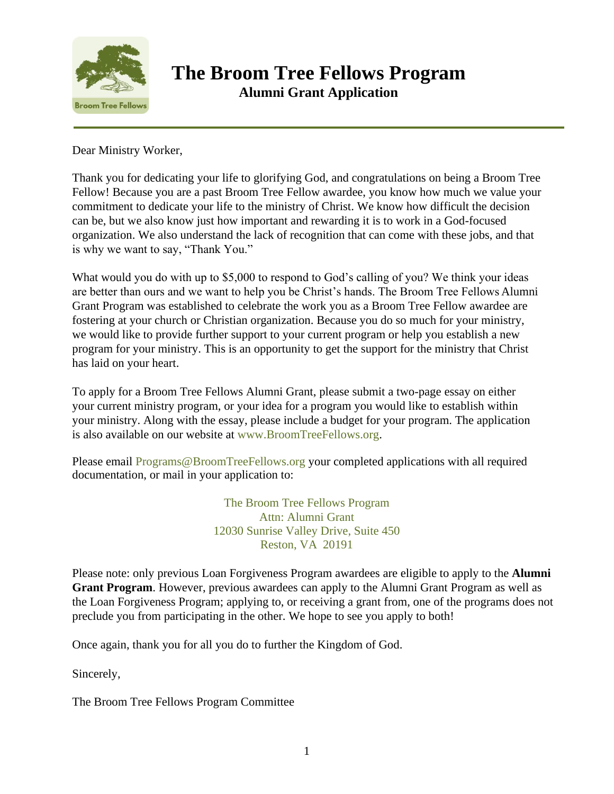

Dear Ministry Worker,

Thank you for dedicating your life to glorifying God, and congratulations on being a Broom Tree Fellow! Because you are a past Broom Tree Fellow awardee, you know how much we value your commitment to dedicate your life to the ministry of Christ. We know how difficult the decision can be, but we also know just how important and rewarding it is to work in a God-focused organization. We also understand the lack of recognition that can come with these jobs, and that is why we want to say, "Thank You."

What would you do with up to \$5,000 to respond to God's calling of you? We think your ideas are better than ours and we want to help you be Christ's hands. The Broom Tree Fellows Alumni Grant Program was established to celebrate the work you as a Broom Tree Fellow awardee are fostering at your church or Christian organization. Because you do so much for your ministry, we would like to provide further support to your current program or help you establish a new program for your ministry. This is an opportunity to get the support for the ministry that Christ has laid on your heart.

To apply for a Broom Tree Fellows Alumni Grant, please submit a two-page essay on either your current ministry program, or your idea for a program you would like to establish within your ministry. Along with the essay, please include a budget for your program. The application is also available on our website at [www.BroomTreeFellows.org.](http://www.broomtreefellows.org/)

Please email [Programs@BroomTreeFellows.org](mailto:Programs@BroomTreeFellows.org) your completed applications with all required documentation, or mail in your application to:

> The Broom Tree Fellows Program Attn: Alumni Grant 12030 Sunrise Valley Drive, Suite 450 Reston, VA 20191

Please note: only previous Loan Forgiveness Program awardees are eligible to apply to the **Alumni Grant Program**. However, previous awardees can apply to the Alumni Grant Program as well as the Loan Forgiveness Program; applying to, or receiving a grant from, one of the programs does not preclude you from participating in the other. We hope to see you apply to both!

Once again, thank you for all you do to further the Kingdom of God.

Sincerely,

The Broom Tree Fellows Program Committee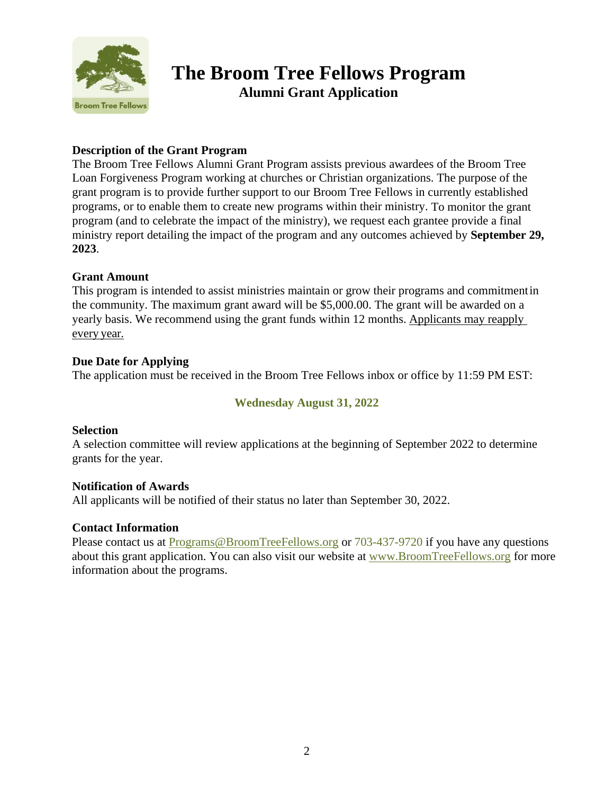

#### **Description of the Grant Program**

The Broom Tree Fellows Alumni Grant Program assists previous awardees of the Broom Tree Loan Forgiveness Program working at churches or Christian organizations. The purpose of the grant program is to provide further support to our Broom Tree Fellows in currently established programs, or to enable them to create new programs within their ministry. To monitor the grant program (and to celebrate the impact of the ministry), we request each grantee provide a final ministry report detailing the impact of the program and any outcomes achieved by **September 29, 2023**.

#### **Grant Amount**

This program is intended to assist ministries maintain or grow their programs and commitmentin the community. The maximum grant award will be \$5,000.00. The grant will be awarded on a yearly basis. We recommend using the grant funds within 12 months. Applicants may reapply every year.

#### **Due Date for Applying**

The application must be received in the Broom Tree Fellows inbox or office by 11:59 PM EST:

#### **Wednesday August 31, 2022**

#### **Selection**

A selection committee will review applications at the beginning of September 2022 to determine grants for the year.

#### **Notification of Awards**

All applicants will be notified of their status no later than September 30, 2022.

#### **Contact Information**

Please contact us at [Programs@BroomTreeFellows.org](mailto:Programs@BroomTreeFellows.org) or 703-437-9720 if you have any questions about this grant application. You can also visit our website at <www.BroomTreeFellows.org> for more information about the programs.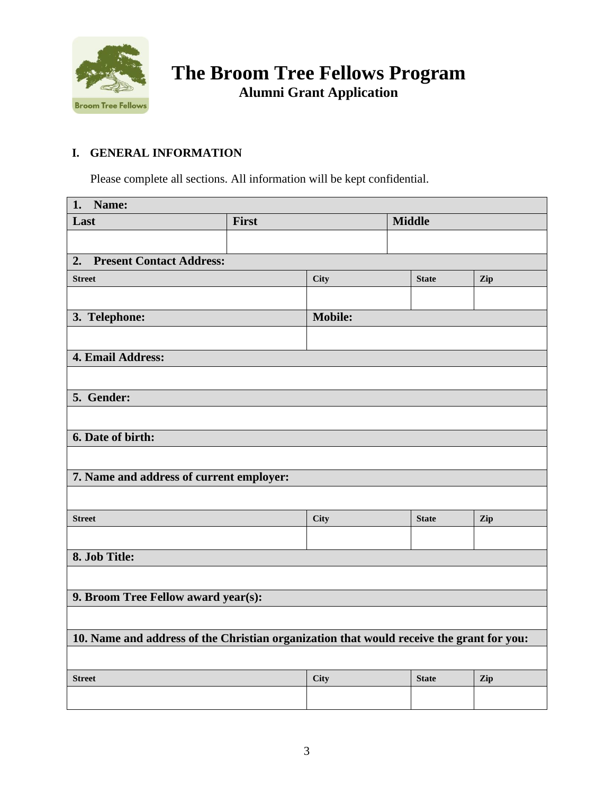

## **I. GENERAL INFORMATION**

Please complete all sections. All information will be kept confidential.

| 1. Name:                                                                                 |       |                |               |              |     |
|------------------------------------------------------------------------------------------|-------|----------------|---------------|--------------|-----|
| Last                                                                                     | First |                | <b>Middle</b> |              |     |
|                                                                                          |       |                |               |              |     |
| <b>Present Contact Address:</b><br>2.                                                    |       |                |               |              |     |
| <b>Street</b>                                                                            |       | <b>City</b>    |               | <b>State</b> | Zip |
|                                                                                          |       |                |               |              |     |
| 3. Telephone:                                                                            |       | <b>Mobile:</b> |               |              |     |
|                                                                                          |       |                |               |              |     |
| 4. Email Address:                                                                        |       |                |               |              |     |
|                                                                                          |       |                |               |              |     |
| 5. Gender:                                                                               |       |                |               |              |     |
|                                                                                          |       |                |               |              |     |
| 6. Date of birth:                                                                        |       |                |               |              |     |
|                                                                                          |       |                |               |              |     |
| 7. Name and address of current employer:                                                 |       |                |               |              |     |
|                                                                                          |       |                |               |              |     |
| <b>Street</b>                                                                            |       | <b>City</b>    |               | <b>State</b> | Zip |
|                                                                                          |       |                |               |              |     |
| 8. Job Title:                                                                            |       |                |               |              |     |
|                                                                                          |       |                |               |              |     |
| 9. Broom Tree Fellow award year(s):                                                      |       |                |               |              |     |
|                                                                                          |       |                |               |              |     |
| 10. Name and address of the Christian organization that would receive the grant for you: |       |                |               |              |     |
|                                                                                          |       |                |               |              |     |
| <b>Street</b>                                                                            |       | <b>City</b>    |               | <b>State</b> | Zip |
|                                                                                          |       |                |               |              |     |